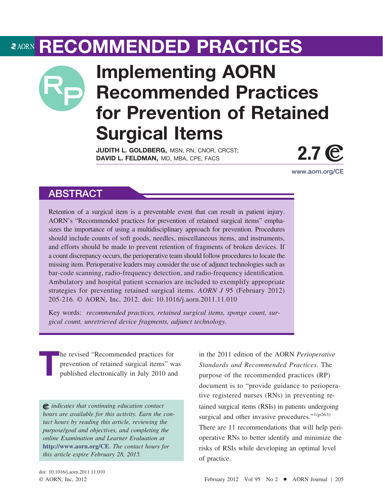### **RECOMMENDED PRACTICES MAORN**



# **Implementing AORN Recommended Practices for Prevention of Retained Surgical Items**

**JUDITH L. GOLDBERG,** MSN, RN, CNOR, CRCST; **DAVID L. FELDMAN,** MD, MBA, CPE, FACS

[www.aorn.org/CE](http://www.aorn.org/CE)

**2.7**

## ABSTRACT

Retention of a surgical item is a preventable event that can result in patient injury. AORN's "Recommended practices for prevention of retained surgical items" emphasizes the importance of using a multidisciplinary approach for prevention. Procedures should include counts of soft goods, needles, miscellaneous items, and instruments, and efforts should be made to prevent retention of fragments of broken devices. If a count discrepancy occurs, the perioperative team should follow procedures to locate the missing item. Perioperative leaders may consider the use of adjunct technologies such as bar-code scanning, radio-frequency detection, and radio-frequency identification. Ambulatory and hospital patient scenarios are included to exemplify appropriate strategies for preventing retained surgical items. *AORN J* 95 (February 2012) 205-216. © AORN, Inc, 2012. doi: 10.1016/j.aorn.2011.11.010

Key words: *recommended practices, retained surgical items, sponge count, surgical count, unretrieved device fragments, adjunct technology.*

**THE RECOMMENDED**<br> **THE RECOMMENDED**<br> **THE RECOMMENDED**<br> **THE RECOMMENDED**<br> **THE RECOMMENDED**<br> **THE RECOMMENDED**<br> **THE RECOMMENDED**<br> **THE RECOMMENDED**<br> **THE RECOMMENDED**<br> **PHE RECOMMENDED**<br> **PHE RECOMMENDED**<br> **PHE RECOMMEN** prevention of retained surgical items" was

*indicates that continuing education contact hours are available for this activity. Earn the contact hours by reading this article, reviewing the purpose/goal and objectives, and completing the online Examination and Learner Evaluation at* **<http://www.aorn.org/CE>***. The contact hours for this article expire February 28, 2015.*

in the 2011 edition of the AORN *Perioperative Standards and Recommended Practices*. The purpose of the recommended practices (RP) document is to "provide guidance to perioperative registered nurses (RNs) in preventing retained surgical items (RSIs) in patients undergoing surgical and other invasive procedures."<sup>[1\(](#page-10-0)p263)</sup> There are 11 recommendations that will help perioperative RNs to better identify and minimize the risks of RSIs while developing an optimal level of practice.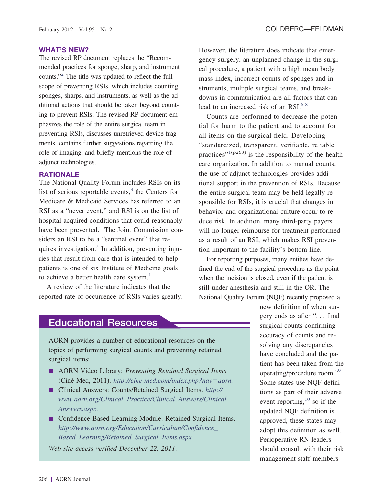#### **WHAT'S NEW?**

The revised RP document replaces the "Recommended practices for sponge, sharp, and instrument counts.["2](#page-10-1) The title was updated to reflect the full scope of preventing RSIs, which includes counting sponges, sharps, and instruments, as well as the additional actions that should be taken beyond counting to prevent RSIs. The revised RP document emphasizes the role of the entire surgical team in preventing RSIs, discusses unretrieved device fragments, contains further suggestions regarding the role of imaging, and briefly mentions the role of adjunct technologies.

#### **RATIONALE**

The National Quality Forum includes RSIs on its list of serious reportable events, $3$  the Centers for Medicare & Medicaid Services has referred to an RSI as a "never event," and RSI is on the list of hospital-acquired conditions that could reasonably have been prevented.<sup>4</sup> The Joint Commission considers an RSI to be a "sentinel event" that requires investigation. $5$  In addition, preventing injuries that result from care that is intended to help patients is one of six Institute of Medicine goals to achieve a better health care system.<sup>1</sup>

A review of the literature indicates that the reported rate of occurrence of RSIs varies greatly. However, the literature does indicate that emergency surgery, an unplanned change in the surgical procedure, a patient with a high mean body mass index, incorrect counts of sponges and instruments, multiple surgical teams, and breakdowns in communication are all factors that can lead to an increased risk of an RSI.<sup>6-8</sup>

Counts are performed to decrease the potential for harm to the patient and to account for all items on the surgical field. Developing "standardized, transparent, verifiable, reliable practices"<sup>[1\(](#page-10-0)p263)</sup> is the responsibility of the health care organization. In addition to manual counts, the use of adjunct technologies provides additional support in the prevention of RSIs. Because the entire surgical team may be held legally responsible for RSIs, it is crucial that changes in behavior and organizational culture occur to reduce risk. In addition, many third-party payers will no longer reimburse for treatment performed as a result of an RSI, which makes RSI prevention important to the facility's bottom line.

For reporting purposes, many entities have defined the end of the surgical procedure as the point when the incision is closed, even if the patient is still under anesthesia and still in the OR. The National Quality Forum (NQF) recently proposed a

## Educational Resources

AORN provides a number of educational resources on the topics of performing surgical counts and preventing retained surgical items:

- AORN Video Library: *Preventing Retained Surgical Items* (Ciné-Med, 2011). *[http://cine-med.com/index.php?nav](http://cine-med.com/index.php?nav==aorn)*!*aorn.*
- ! Clinical Answers: Counts/Retained Surgical Items. *[http://](http://www.aorn.org/Clinical_Practice/Clinical_Answers/Clinical_Answers.aspx/) [www.aorn.org/Clinical\\_Practice/Clinical\\_Answers/Clinical\\_](http://www.aorn.org/Clinical_Practice/Clinical_Answers/Clinical_Answers.aspx/) [Answers.aspx.](http://www.aorn.org/Clinical_Practice/Clinical_Answers/Clinical_Answers.aspx/)*
- Confidence-Based Learning Module: Retained Surgical Items. *[http://www.aorn.org/Education/Curriculum/Confidence\\_](http://www.aorn.org/Education/Curriculum/Confidence_Based_Learning/Retained_Surgical_Items.aspx) [Based\\_Learning/Retained\\_Surgical\\_Items.aspx.](http://www.aorn.org/Education/Curriculum/Confidence_Based_Learning/Retained_Surgical_Items.aspx)*

*Web site access verified December 22, 2011*.

new definition of when surgery ends as after ". . . final surgical counts confirming accuracy of counts and resolving any discrepancies have concluded and the patient has been taken from the operating/procedure room."[9](#page-10-6) Some states use NQF definitions as part of their adverse event reporting,  $^{10}$  so if the updated NQF definition is approved, these states may adopt this definition as well. Perioperative RN leaders should consult with their risk management staff members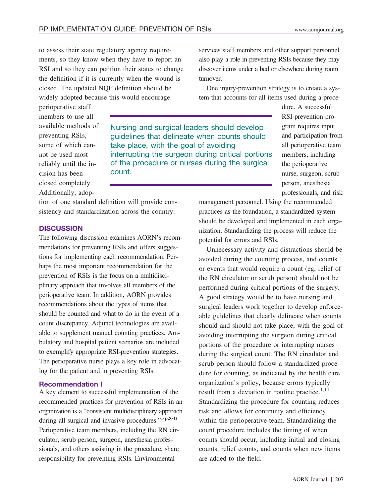to assess their state regulatory agency requirements, so they know when they have to report an RSI and so they can petition their states to change the definition if it is currently when the wound is closed. The updated NQF definition should be widely adopted because this would encourage

services staff members and other support personnel also play a role in preventing RSIs because they may discover items under a bed or elsewhere during room turnover.

One injury-prevention strategy is to create a system that accounts for all items used during a proce-

perioperative staff members to use all available methods of preventing RSIs, some of which cannot be used most reliably until the incision has been closed completely. Additionally, adop-

Nursing and surgical leaders should develop guidelines that delineate when counts should take place, with the goal of avoiding interrupting the surgeon during critical portions of the procedure or nurses during the surgical count.

tion of one standard definition will provide consistency and standardization across the country.

#### **DISCUSSION**

The following discussion examines AORN's recommendations for preventing RSIs and offers suggestions for implementing each recommendation. Perhaps the most important recommendation for the prevention of RSIs is the focus on a multidisciplinary approach that involves all members of the perioperative team. In addition, AORN provides recommendations about the types of items that should be counted and what to do in the event of a count discrepancy. Adjunct technologies are available to supplement manual counting practices. Ambulatory and hospital patient scenarios are included to exemplify appropriate RSI-prevention strategies. The perioperative nurse plays a key role in advocating for the patient and in preventing RSIs.

#### **Recommendation I**

A key element to successful implementation of the recommended practices for prevention of RSIs in an organization is a "consistent multidisciplinary approach during all surgical and invasive procedures."<sup>1(p264)</sup> Perioperative team members, including the RN circulator, scrub person, surgeon, anesthesia professionals, and others assisting in the procedure, share responsibility for preventing RSIs. Environmental

dure. A successful RSI-prevention program requires input and participation from all perioperative team members, including the perioperative nurse, surgeon, scrub person, anesthesia professionals, and risk

management personnel. Using the recommended practices as the foundation, a standardized system should be developed and implemented in each organization. Standardizing the process will reduce the potential for errors and RSIs.

Unnecessary activity and distractions should be avoided during the counting process, and counts or events that would require a count (eg, relief of the RN circulator or scrub person) should not be performed during critical portions of the surgery. A good strategy would be to have nursing and surgical leaders work together to develop enforceable guidelines that clearly delineate when counts should and should not take place, with the goal of avoiding interrupting the surgeon during critical portions of the procedure or interrupting nurses during the surgical count. The RN circulator and scrub person should follow a standardized procedure for counting, as indicated by the health care organization's policy, because errors typically result from a deviation in routine practice.<sup>1,11</sup> Standardizing the procedure for counting reduces risk and allows for continuity and efficiency within the perioperative team. Standardizing the count procedure includes the timing of when counts should occur, including initial and closing counts, relief counts, and counts when new items are added to the field.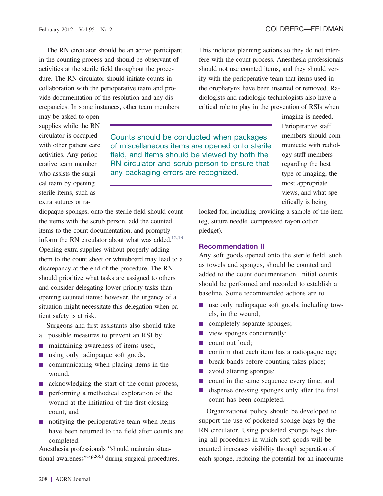may be asked to open supplies while the RN circulator is occupied with other patient care activities. Any perioperative team member who assists the surgical team by opening sterile items, such as extra sutures or ra-

The RN circulator should be an active participant in the counting process and should be observant of activities at the sterile field throughout the procedure. The RN circulator should initiate counts in collaboration with the perioperative team and provide documentation of the resolution and any discrepancies. In some instances, other team members

> Counts should be conducted when packages of miscellaneous items are opened onto sterile field, and items should be viewed by both the RN circulator and scrub person to ensure that any packaging errors are recognized.

imaging is needed. Perioperative staff members should communicate with radiology staff members regarding the best type of imaging, the most appropriate views, and what specifically is being

diopaque sponges, onto the sterile field should count the items with the scrub person, add the counted items to the count documentation, and promptly inform the RN circulator about what was added. $12,13$ Opening extra supplies without properly adding them to the count sheet or whiteboard may lead to a discrepancy at the end of the procedure. The RN should prioritize what tasks are assigned to others and consider delegating lower-priority tasks than opening counted items; however, the urgency of a situation might necessitate this delegation when patient safety is at risk.

Surgeons and first assistants also should take all possible measures to prevent an RSI by

- **n** maintaining awareness of items used,
- using only radiopaque soft goods,
- $\Box$  communicating when placing items in the wound,
- $\blacksquare$  acknowledging the start of the count process,
- $\blacksquare$  performing a methodical exploration of the wound at the initiation of the first closing count, and
- $\blacksquare$  notifying the perioperative team when items have been returned to the field after counts are completed.

Anesthesia professionals "should maintain situational awareness"<sup>1(p266)</sup> during surgical procedures. looked for, including providing a sample of the item (eg, suture needle, compressed rayon cotton pledget).

This includes planning actions so they do not interfere with the count process. Anesthesia professionals should not use counted items, and they should verify with the perioperative team that items used in the oropharynx have been inserted or removed. Radiologists and radiologic technologists also have a critical role to play in the prevention of RSIs when

#### **Recommendation II**

Any soft goods opened onto the sterile field, such as towels and sponges, should be counted and added to the count documentation. Initial counts should be performed and recorded to establish a baseline. Some recommended actions are to

- use only radiopaque soft goods, including towels, in the wound;
- $\blacksquare$  completely separate sponges;
- **u** view sponges concurrently;
- **c** count out loud:
- $\Box$  confirm that each item has a radiopaque tag;
- **I** break bands before counting takes place;
- **u.** avoid altering sponges;
- count in the same sequence every time; and
- dispense dressing sponges only after the final count has been completed.

Organizational policy should be developed to support the use of pocketed sponge bags by the RN circulator. Using pocketed sponge bags during all procedures in which soft goods will be counted increases visibility through separation of each sponge, reducing the potential for an inaccurate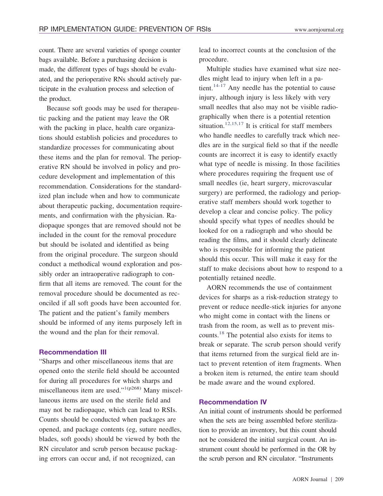count. There are several varieties of sponge counter bags available. Before a purchasing decision is made, the different types of bags should be evaluated, and the perioperative RNs should actively participate in the evaluation process and selection of the product.

Because soft goods may be used for therapeutic packing and the patient may leave the OR with the packing in place, health care organizations should establish policies and procedures to standardize processes for communicating about these items and the plan for removal. The perioperative RN should be involved in policy and procedure development and implementation of this recommendation. Considerations for the standardized plan include when and how to communicate about therapeutic packing, documentation requirements, and confirmation with the physician. Radiopaque sponges that are removed should not be included in the count for the removal procedure but should be isolated and identified as being from the original procedure. The surgeon should conduct a methodical wound exploration and possibly order an intraoperative radiograph to confirm that all items are removed. The count for the removal procedure should be documented as reconciled if all soft goods have been accounted for. The patient and the patient's family members should be informed of any items purposely left in the wound and the plan for their removal.

#### **Recommendation III**

"Sharps and other miscellaneous items that are opened onto the sterile field should be accounted for during all procedures for which sharps and miscellaneous item are used."<sup>1(p268)</sup> Many miscellaneous items are used on the sterile field and may not be radiopaque, which can lead to RSIs. Counts should be conducted when packages are opened, and package contents (eg, suture needles, blades, soft goods) should be viewed by both the RN circulator and scrub person because packaging errors can occur and, if not recognized, can

lead to incorrect counts at the conclusion of the procedure.

Multiple studies have examined what size needles might lead to injury when left in a pa-tient.<sup>[14-17](#page-11-2)</sup> Any needle has the potential to cause injury, although injury is less likely with very small needles that also may not be visible radiographically when there is a potential retention situation.<sup>[12,15,17](#page-11-0)</sup> It is critical for staff members who handle needles to carefully track which needles are in the surgical field so that if the needle counts are incorrect it is easy to identify exactly what type of needle is missing. In those facilities where procedures requiring the frequent use of small needles (ie, heart surgery, microvascular surgery) are performed, the radiology and perioperative staff members should work together to develop a clear and concise policy. The policy should specify what types of needles should be looked for on a radiograph and who should be reading the films, and it should clearly delineate who is responsible for informing the patient should this occur. This will make it easy for the staff to make decisions about how to respond to a potentially retained needle.

AORN recommends the use of containment devices for sharps as a risk-reduction strategy to prevent or reduce needle-stick injuries for anyone who might come in contact with the linens or trash from the room, as well as to prevent miscounts.<sup>18</sup> The potential also exists for items to break or separate. The scrub person should verify that items returned from the surgical field are intact to prevent retention of item fragments. When a broken item is returned, the entire team should be made aware and the wound explored.

#### **Recommendation IV**

An initial count of instruments should be performed when the sets are being assembled before sterilization to provide an inventory, but this count should not be considered the initial surgical count. An instrument count should be performed in the OR by the scrub person and RN circulator. "Instruments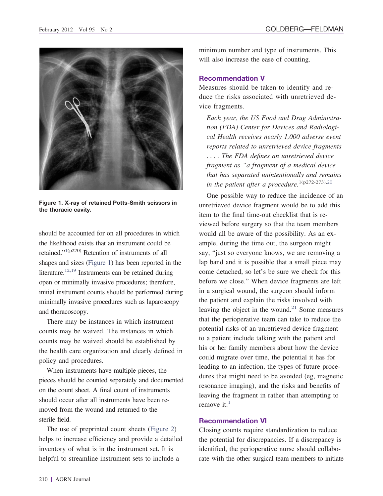

**Figure 1. X-ray of retained Potts-Smith scissors in the thoracic cavity.**

<span id="page-5-0"></span>should be accounted for on all procedures in which the likelihood exists that an instrument could be retained.["1\(](#page-10-0)p270) Retention of instruments of all shapes and sizes [\(Figure 1\)](#page-5-0) has been reported in the literature.<sup>12,19</sup> Instruments can be retained during open or minimally invasive procedures; therefore, initial instrument counts should be performed during minimally invasive procedures such as laparoscopy and thoracoscopy.

There may be instances in which instrument counts may be waived. The instances in which counts may be waived should be established by the health care organization and clearly defined in policy and procedures.

When instruments have multiple pieces, the pieces should be counted separately and documented on the count sheet. A final count of instruments should occur after all instruments have been removed from the wound and returned to the sterile field.

The use of preprinted count sheets [\(Figure 2\)](#page-6-0) helps to increase efficiency and provide a detailed inventory of what is in the instrument set. It is helpful to streamline instrument sets to include a

minimum number and type of instruments. This will also increase the ease of counting.

#### **Recommendation V**

Measures should be taken to identify and reduce the risks associated with unretrieved device fragments.

*Each year, the US Food and Drug Administration (FDA) Center for Devices and Radiological Health receives nearly 1,000 adverse event reports related to unretrieved device fragments* ... *. The FDA defines an unretrieved device fragment as "a fragment of a medical device that has separated unintentionally and remains in the patient after a procedure.*1(p272-273)[,20](#page-11-3)

One possible way to reduce the incidence of an unretrieved device fragment would be to add this item to the final time-out checklist that is reviewed before surgery so that the team members would all be aware of the possibility. As an example, during the time out, the surgeon might say, "just so everyone knows, we are removing a lap band and it is possible that a small piece may come detached, so let's be sure we check for this before we close." When device fragments are left in a surgical wound, the surgeon should inform the patient and explain the risks involved with leaving the object in the wound.<sup>21</sup> Some measures that the perioperative team can take to reduce the potential risks of an unretrieved device fragment to a patient include talking with the patient and his or her family members about how the device could migrate over time, the potential it has for leading to an infection, the types of future procedures that might need to be avoided (eg, magnetic resonance imaging), and the risks and benefits of leaving the fragment in rather than attempting to remove it. $<sup>1</sup>$ </sup>

#### **Recommendation VI**

Closing counts require standardization to reduce the potential for discrepancies. If a discrepancy is identified, the perioperative nurse should collaborate with the other surgical team members to initiate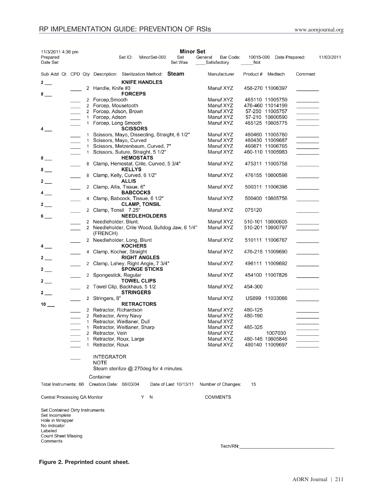| 11/3/2011 4:36 pm                                                                                                                         |              |                                    |                  |                                                                                    | <b>Minor Set</b>                                |                                      |                   |         |                                                                                                                                                                                                                 |            |
|-------------------------------------------------------------------------------------------------------------------------------------------|--------------|------------------------------------|------------------|------------------------------------------------------------------------------------|-------------------------------------------------|--------------------------------------|-------------------|---------|-----------------------------------------------------------------------------------------------------------------------------------------------------------------------------------------------------------------|------------|
| Prepared<br>Date Set                                                                                                                      |              |                                    | Set ID:          | MinorSet-000                                                                       | Set<br>Set Was                                  | General<br>Bar Code:<br>Satisfactory | Not               |         | 10015-000 Date Prepared:                                                                                                                                                                                        | 11/03/2011 |
| Sub Add Qt CPD Qty Description: Sterilization Method: Steam                                                                               |              |                                    |                  |                                                                                    |                                                 | Manufacturer                         | Product # Medtech |         | Comment                                                                                                                                                                                                         |            |
| $2\overline{ }$                                                                                                                           |              |                                    |                  | <b>KNIFE HANDLES</b>                                                               |                                                 |                                      |                   |         |                                                                                                                                                                                                                 |            |
| $^8-$                                                                                                                                     |              | 2 Handle, Knife #3                 | <b>FORCEPS</b>   |                                                                                    |                                                 | Manuf XYZ                            | 458-270 11006397  |         |                                                                                                                                                                                                                 |            |
|                                                                                                                                           |              | 2 Forcep, Smooth                   |                  |                                                                                    |                                                 | Manuf XYZ                            | 465110 11005759   |         | $\sim$ $\sim$                                                                                                                                                                                                   |            |
|                                                                                                                                           |              | 2 Forcep, Mousetooth               |                  |                                                                                    |                                                 | Manuf XYZ                            | 476-460 11014199  |         | $\label{eq:2.1} \begin{array}{ll} \mathcal{L}_{\text{max}} & \mathcal{L}_{\text{max}} & \mathcal{L}_{\text{max}} \\ \mathcal{L}_{\text{max}} & \mathcal{L}_{\text{max}} & \mathcal{L}_{\text{max}} \end{array}$ |            |
|                                                                                                                                           |              | 2 Forcep, Adson, Brown             |                  |                                                                                    |                                                 | Manuf XYZ                            | 57-250 11005757   |         | المستخدمات المستخدمات                                                                                                                                                                                           |            |
|                                                                                                                                           | $\mathbf{1}$ | Forcep, Adson                      |                  |                                                                                    |                                                 | Manuf XYZ                            | 57-210 10800590   |         |                                                                                                                                                                                                                 |            |
|                                                                                                                                           |              | 1 Forcep, Long Smooth              | <b>SCISSORS</b>  |                                                                                    |                                                 | Manuf XYZ                            | 465125 10805775   |         |                                                                                                                                                                                                                 |            |
|                                                                                                                                           | $\mathbf{1}$ |                                    |                  | Scissors, Mayo, Dissecting, Straight, 6 1/2"                                       |                                                 | Manuf XYZ                            | 460460 11005760   |         | <u> Linda and Linda</u>                                                                                                                                                                                         |            |
|                                                                                                                                           |              | 1 Scissors, Mayo, Curved           |                  |                                                                                    |                                                 | Manuf XYZ                            | 460430 11009687   |         | وأحياء المراجعين                                                                                                                                                                                                |            |
|                                                                                                                                           |              |                                    |                  | 1 Scissors, Metzenbaum, Curved, 7"                                                 |                                                 | Manuf XYZ                            | 460871 11006765   |         |                                                                                                                                                                                                                 |            |
|                                                                                                                                           | $\mathbf{1}$ |                                    | <b>HEMOSTATS</b> | Scissors, Suture, Straight, 5 1/2"                                                 |                                                 | Manuf XYZ                            | 460-110 11005983  |         | <u> 1999 - 1999 - 1999 - 1999 - 1999 - 1999 - 1999 - 1999 - 1999 - 1999 - 1999 - 1999 - 1999 - 1999 - 1999 - 199</u>                                                                                            |            |
| $^8-$                                                                                                                                     | 8            |                                    | <b>KELLYS</b>    | Clamp, Hemostat, Crile, Curved, 5 3/4"                                             |                                                 | Manuf XYZ                            | 475311 11005758   |         |                                                                                                                                                                                                                 |            |
| $2\equiv$                                                                                                                                 |              | 8 Clamp, Kelly, Curved, 6 1/2"     | <b>ALLIS</b>     |                                                                                    |                                                 | Manuf XYZ                            | 476155 10800598   |         |                                                                                                                                                                                                                 |            |
| 4                                                                                                                                         |              | 2 Clamp, Allis, Tissue, 6"         | <b>BABCOCKS</b>  |                                                                                    |                                                 | Manuf XYZ                            | 500311 11006398   |         |                                                                                                                                                                                                                 |            |
|                                                                                                                                           |              | 4 Clamp, Babcock, Tissue, 6 1/2"   |                  | <b>CLAMP, TONSIL</b>                                                               |                                                 | Manuf XYZ                            | 500400 10805756   |         |                                                                                                                                                                                                                 |            |
| $2 \quad$                                                                                                                                 |              | 2 Clamp, Tonsil 7.25"              |                  | <b>NEEDLEHOLDERS</b>                                                               |                                                 | Manuf XYZ                            | 075120            |         |                                                                                                                                                                                                                 |            |
| $6\_\_$                                                                                                                                   |              |                                    |                  |                                                                                    |                                                 | Manuf XYZ                            | 510-101 10800605  |         |                                                                                                                                                                                                                 |            |
|                                                                                                                                           |              | 2 Needleholder, Blunt,<br>(FRENCH) |                  |                                                                                    | 2 Needleholder, Crile Wood, Bulldog Jaw, 6 1/4" | Manuf XYZ                            | 510-201 10800797  |         |                                                                                                                                                                                                                 |            |
|                                                                                                                                           |              | 2 Needleholder, Long, Blunt        |                  |                                                                                    |                                                 | Manuf XYZ                            | 510111 11006767   |         |                                                                                                                                                                                                                 |            |
|                                                                                                                                           |              | 4 Clamp, Kocher, Straight          | <b>KOCHERS</b>   |                                                                                    |                                                 | Manuf XYZ                            | 476-215 11009690  |         |                                                                                                                                                                                                                 |            |
| $\mathbf{2}$                                                                                                                              |              |                                    |                  | <b>RIGHT ANGLES</b><br>2 Clamp, Lahey, Right Angle, 7 3/4"<br><b>SPONGE STICKS</b> |                                                 | Manuf XYZ                            | 496111 11009692   |         |                                                                                                                                                                                                                 |            |
| $2\equiv$                                                                                                                                 |              | 2 Spongestick, Regular             |                  | <b>TOWEL CLIPS</b>                                                                 |                                                 | Manuf XYZ                            | 454100 11007826   |         |                                                                                                                                                                                                                 |            |
| $2\overline{ }$                                                                                                                           |              | 2 Towel Clip, Backhaus, 5 1/2      | <b>STRINGERS</b> |                                                                                    |                                                 | Manuf XYZ                            | 454-300           |         |                                                                                                                                                                                                                 |            |
| $2\overline{ }$                                                                                                                           |              | 2 Stringers, 8"                    |                  |                                                                                    |                                                 | Manuf XYZ                            | US899 11033066    |         |                                                                                                                                                                                                                 |            |
| $10$ —                                                                                                                                    |              |                                    |                  | <b>RETRACTORS</b>                                                                  |                                                 |                                      |                   |         |                                                                                                                                                                                                                 |            |
|                                                                                                                                           |              | 2 Retractor, Richardson            |                  |                                                                                    |                                                 | Manuf XYZ                            | 480-125           |         |                                                                                                                                                                                                                 |            |
|                                                                                                                                           |              | 2 Retractor, Army Navy             |                  |                                                                                    |                                                 | Manuf XYZ                            | 480-190           |         |                                                                                                                                                                                                                 |            |
|                                                                                                                                           |              | 1 Retractor, Weitlaner, Dull       |                  |                                                                                    |                                                 | Manuf XYZ                            |                   |         |                                                                                                                                                                                                                 |            |
|                                                                                                                                           |              | 1 Retractor, Weitlaner, Sharp      |                  |                                                                                    |                                                 | Manuf XYZ                            | 485-325           |         |                                                                                                                                                                                                                 |            |
|                                                                                                                                           |              | 2 Retractor, Vein                  |                  |                                                                                    |                                                 | Manuf XYZ                            |                   | 1007030 |                                                                                                                                                                                                                 |            |
|                                                                                                                                           |              | 1 Retractor, Roux, Large           |                  |                                                                                    |                                                 | Manuf XYZ                            | 480-145 10805846  |         |                                                                                                                                                                                                                 |            |
|                                                                                                                                           | 1            | Retractor, Roux                    |                  |                                                                                    |                                                 | Manuf XYZ                            | 480140 11009697   |         |                                                                                                                                                                                                                 |            |
|                                                                                                                                           |              | <b>INTEGRATOR</b><br><b>NOTE</b>   |                  |                                                                                    |                                                 |                                      |                   |         |                                                                                                                                                                                                                 |            |
|                                                                                                                                           |              |                                    |                  | Steam sterilize $@$ 270 deg for 4 minutes.                                         |                                                 |                                      |                   |         |                                                                                                                                                                                                                 |            |
|                                                                                                                                           |              | Container                          |                  |                                                                                    |                                                 |                                      |                   |         |                                                                                                                                                                                                                 |            |
| Total Instruments: 66 Creation Date: 08/03/04                                                                                             |              |                                    |                  |                                                                                    | Date of Last 10/13/11                           | Number of Changes:                   | 15                |         |                                                                                                                                                                                                                 |            |
| Central Processing QA Monitor                                                                                                             |              |                                    |                  | N<br>Y                                                                             |                                                 | <b>COMMENTS</b>                      |                   |         |                                                                                                                                                                                                                 |            |
| Set Contained Dirty Instruments<br>Set Incomplete<br>Hole in Wrapper<br>No indicator<br>Labeled<br><b>Count Sheet Missing</b><br>Comments |              |                                    |                  |                                                                                    |                                                 |                                      |                   |         |                                                                                                                                                                                                                 |            |
|                                                                                                                                           |              |                                    |                  |                                                                                    |                                                 | Tech/RN:                             |                   |         |                                                                                                                                                                                                                 |            |

<span id="page-6-0"></span>**Figure 2. Preprinted count sheet.**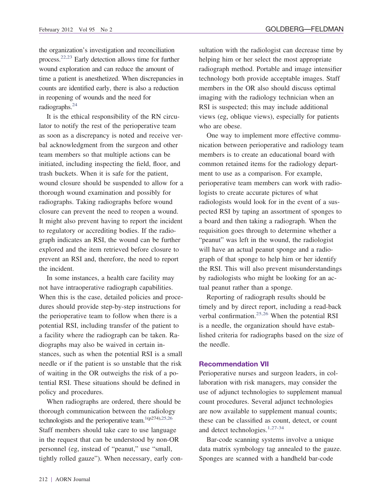the organization's investigation and reconciliation process[.22,23](#page-11-5) Early detection allows time for further wound exploration and can reduce the amount of time a patient is anesthetized. When discrepancies in counts are identified early, there is also a reduction in reopening of wounds and the need for radiographs[.24](#page-11-6)

It is the ethical responsibility of the RN circulator to notify the rest of the perioperative team as soon as a discrepancy is noted and receive verbal acknowledgment from the surgeon and other team members so that multiple actions can be initiated, including inspecting the field, floor, and trash buckets. When it is safe for the patient, wound closure should be suspended to allow for a thorough wound examination and possibly for radiographs. Taking radiographs before wound closure can prevent the need to reopen a wound. It might also prevent having to report the incident to regulatory or accrediting bodies. If the radiograph indicates an RSI, the wound can be further explored and the item retrieved before closure to prevent an RSI and, therefore, the need to report the incident.

In some instances, a health care facility may not have intraoperative radiograph capabilities. When this is the case, detailed policies and procedures should provide step-by-step instructions for the perioperative team to follow when there is a potential RSI, including transfer of the patient to a facility where the radiograph can be taken. Radiographs may also be waived in certain instances, such as when the potential RSI is a small needle or if the patient is so unstable that the risk of waiting in the OR outweighs the risk of a potential RSI. These situations should be defined in policy and procedures.

When radiographs are ordered, there should be thorough communication between the radiology technologists and the perioperative team.<sup>1(p274)[,25,26](#page-11-7)</sup> Staff members should take care to use language in the request that can be understood by non-OR personnel (eg, instead of "peanut," use "small, tightly rolled gauze"). When necessary, early con-

sultation with the radiologist can decrease time by helping him or her select the most appropriate radiograph method. Portable and image intensifier technology both provide acceptable images. Staff members in the OR also should discuss optimal imaging with the radiology technician when an RSI is suspected; this may include additional views (eg, oblique views), especially for patients who are obese.

One way to implement more effective communication between perioperative and radiology team members is to create an educational board with common retained items for the radiology department to use as a comparison. For example, perioperative team members can work with radiologists to create accurate pictures of what radiologists would look for in the event of a suspected RSI by taping an assortment of sponges to a board and then taking a radiograph. When the requisition goes through to determine whether a "peanut" was left in the wound, the radiologist will have an actual peanut sponge and a radiograph of that sponge to help him or her identify the RSI. This will also prevent misunderstandings by radiologists who might be looking for an actual peanut rather than a sponge.

Reporting of radiograph results should be timely and by direct report, including a read-back verbal confirmation.<sup>[25,26](#page-11-7)</sup> When the potential RSI is a needle, the organization should have established criteria for radiographs based on the size of the needle.

#### **Recommendation VII**

Perioperative nurses and surgeon leaders, in collaboration with risk managers, may consider the use of adjunct technologies to supplement manual count procedures. Several adjunct technologies are now available to supplement manual counts; these can be classified as count, detect, or count and detect technologies.<sup>1,27-34</sup>

Bar-code scanning systems involve a unique data matrix symbology tag annealed to the gauze. Sponges are scanned with a handheld bar-code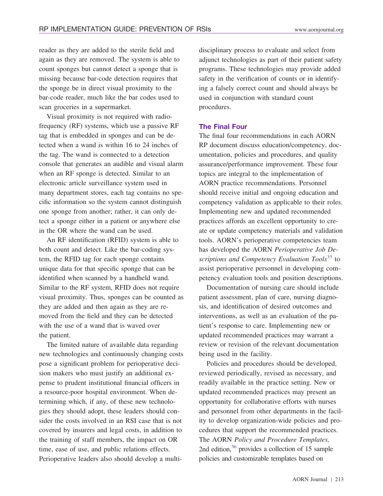reader as they are added to the sterile field and again as they are removed. The system is able to count sponges but cannot detect a sponge that is missing because bar-code detection requires that the sponge be in direct visual proximity to the bar-code reader, much like the bar codes used to scan groceries in a supermarket.

Visual proximity is not required with radiofrequency (RF) systems, which use a passive RF tag that is embedded in sponges and can be detected when a wand is within 16 to 24 inches of the tag. The wand is connected to a detection console that generates an audible and visual alarm when an RF sponge is detected. Similar to an electronic article surveillance system used in many department stores, each tag contains no specific information so the system cannot distinguish one sponge from another; rather, it can only detect a sponge either in a patient or anywhere else in the OR where the wand can be used.

An RF identification (RFID) system is able to both count and detect. Like the bar-coding system, the RFID tag for each sponge contains unique data for that specific sponge that can be identified when scanned by a handheld wand. Similar to the RF system, RFID does not require visual proximity. Thus, sponges can be counted as they are added and then again as they are removed from the field and they can be detected with the use of a wand that is waved over the patient.

The limited nature of available data regarding new technologies and continuously changing costs pose a significant problem for perioperative decision makers who must justify an additional expense to prudent institutional financial officers in a resource-poor hospital environment. When determining which, if any, of these new technologies they should adopt, these leaders should consider the costs involved in an RSI case that is not covered by insurers and legal costs, in addition to the training of staff members, the impact on OR time, ease of use, and public relations effects. Perioperative leaders also should develop a multi-

disciplinary process to evaluate and select from adjunct technologies as part of their patient safety programs. These technologies may provide added safety in the verification of counts or in identifying a falsely correct count and should always be used in conjunction with standard count procedures.

#### **The Final Four**

The final four recommendations in each AORN RP document discuss education/competency, documentation, policies and procedures, and quality assurance/performance improvement. These four topics are integral to the implementation of AORN practice recommendations. Personnel should receive initial and ongoing education and competency validation as applicable to their roles. Implementing new and updated recommended practices affords an excellent opportunity to create or update competency materials and validation tools. AORN's perioperative competencies team has developed the AORN *Perioperative Job Descriptions and Competency Evaluation Tools*<sup>[35](#page-11-9)</sup> to assist perioperative personnel in developing competency evaluation tools and position descriptions.

Documentation of nursing care should include patient assessment, plan of care, nursing diagnosis, and identification of desired outcomes and interventions, as well as an evaluation of the patient's response to care. Implementing new or updated recommended practices may warrant a review or revision of the relevant documentation being used in the facility.

Policies and procedures should be developed, reviewed periodically, revised as necessary, and readily available in the practice setting. New or updated recommended practices may present an opportunity for collaborative efforts with nurses and personnel from other departments in the facility to develop organization-wide policies and procedures that support the recommended practices. The AORN *Policy and Procedure Templates,* 2nd edition,  $36$  provides a collection of 15 sample policies and customizable templates based on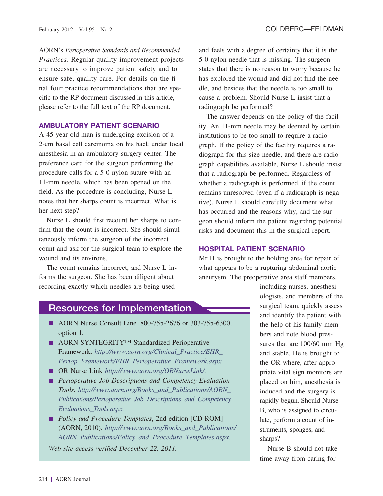AORN's *Perioperative Standards and Recommended Practices.* Regular quality improvement projects are necessary to improve patient safety and to ensure safe, quality care. For details on the final four practice recommendations that are specific to the RP document discussed in this article, please refer to the full text of the RP document.

#### **AMBULATORY PATIENT SCENARIO**

A 45-year-old man is undergoing excision of a 2-cm basal cell carcinoma on his back under local anesthesia in an ambulatory surgery center. The preference card for the surgeon performing the procedure calls for a 5-0 nylon suture with an 11-mm needle, which has been opened on the field. As the procedure is concluding, Nurse L notes that her sharps count is incorrect. What is her next step?

Nurse L should first recount her sharps to confirm that the count is incorrect. She should simultaneously inform the surgeon of the incorrect count and ask for the surgical team to explore the wound and its environs.

The count remains incorrect, and Nurse L informs the surgeon. She has been diligent about recording exactly which needles are being used

and feels with a degree of certainty that it is the 5-0 nylon needle that is missing. The surgeon states that there is no reason to worry because he has explored the wound and did not find the needle, and besides that the needle is too small to cause a problem. Should Nurse L insist that a radiograph be performed?

The answer depends on the policy of the facility. An 11-mm needle may be deemed by certain institutions to be too small to require a radiograph. If the policy of the facility requires a radiograph for this size needle, and there are radiograph capabilities available, Nurse L should insist that a radiograph be performed. Regardless of whether a radiograph is performed, if the count remains unresolved (even if a radiograph is negative), Nurse L should carefully document what has occurred and the reasons why, and the surgeon should inform the patient regarding potential risks and document this in the surgical report.

#### **HOSPITAL PATIENT SCENARIO**

Mr H is brought to the holding area for repair of what appears to be a rupturing abdominal aortic aneurysm. The preoperative area staff members,

#### Resources for Implementation

- AORN Nurse Consult Line. 800-755-2676 or 303-755-6300, option 1.
- AORN SYNTEGRITY<sup>™</sup> Standardized Perioperative Framework. *[http://www.aorn.org/Clinical\\_Practice/EHR\\_](http://www.aorn.org/Clinical_Practice/EHR_Periop_Framework/EHR_Perioperative_Framework.aspx) [Periop\\_Framework/EHR\\_Perioperative\\_Framework.aspx.](http://www.aorn.org/Clinical_Practice/EHR_Periop_Framework/EHR_Perioperative_Framework.aspx)*
- ! OR Nurse Link *[http://www.aorn.org/ORNurseLink/.](http://www.aorn.org/ORNurseLink/)*
- ! *Perioperative Job Descriptions and Competency Evaluation Tools. [http://www.aorn.org/Books\\_and\\_Publications/AORN\\_](http://www.aorn.org/Books_and_Publications/AORN_Publications/Perioperative_Job_Descriptions_and_Competency_Evaluations_Tools.aspx) [Publications/Perioperative\\_Job\\_Descriptions\\_and\\_Competency\\_](http://www.aorn.org/Books_and_Publications/AORN_Publications/Perioperative_Job_Descriptions_and_Competency_Evaluations_Tools.aspx) [Evaluations\\_Tools.aspx.](http://www.aorn.org/Books_and_Publications/AORN_Publications/Perioperative_Job_Descriptions_and_Competency_Evaluations_Tools.aspx)*
- *Policy and Procedure Templates*, 2nd edition [CD-ROM] (AORN, 2010). *[http://www.aorn.org/Books\\_and\\_Publications/](http://www.aorn.org/Books_and_Publications/AORN_Publications/Policy_and_Procedure_Templates.aspx) [AORN\\_Publications/Policy\\_and\\_Procedure\\_Templates.aspx](http://www.aorn.org/Books_and_Publications/AORN_Publications/Policy_and_Procedure_Templates.aspx)*.

*Web site access verified December 22, 2011.*

including nurses, anesthesiologists, and members of the surgical team, quickly assess and identify the patient with the help of his family members and note blood pressures that are 100/60 mm Hg and stable. He is brought to the OR where, after appropriate vital sign monitors are placed on him, anesthesia is induced and the surgery is rapidly begun. Should Nurse B, who is assigned to circulate, perform a count of instruments, sponges, and sharps?

Nurse B should not take time away from caring for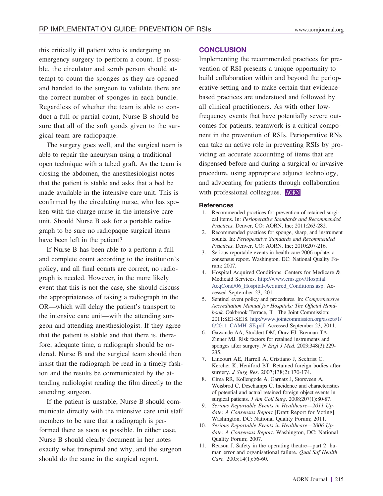this critically ill patient who is undergoing an emergency surgery to perform a count. If possible, the circulator and scrub person should attempt to count the sponges as they are opened and handed to the surgeon to validate there are the correct number of sponges in each bundle. Regardless of whether the team is able to conduct a full or partial count, Nurse B should be sure that all of the soft goods given to the surgical team are radiopaque.

The surgery goes well, and the surgical team is able to repair the aneurysm using a traditional open technique with a tubed graft. As the team is closing the abdomen, the anesthesiologist notes that the patient is stable and asks that a bed be made available in the intensive care unit. This is confirmed by the circulating nurse, who has spoken with the charge nurse in the intensive care unit. Should Nurse B ask for a portable radiograph to be sure no radiopaque surgical items have been left in the patient?

If Nurse B has been able to a perform a full and complete count according to the institution's policy, and all final counts are correct, no radiograph is needed. However, in the more likely event that this is not the case, she should discuss the appropriateness of taking a radiograph in the OR—which will delay the patient's transport to the intensive care unit—with the attending surgeon and attending anesthesiologist. If they agree that the patient is stable and that there is, therefore, adequate time, a radiograph should be ordered. Nurse B and the surgical team should then insist that the radiograph be read in a timely fashion and the results be communicated by the attending radiologist reading the film directly to the attending surgeon.

If the patient is unstable, Nurse B should communicate directly with the intensive care unit staff members to be sure that a radiograph is performed there as soon as possible. In either case, Nurse B should clearly document in her notes exactly what transpired and why, and the surgeon should do the same in the surgical report.

#### **CONCLUSION**

Implementing the recommended practices for prevention of RSI presents a unique opportunity to build collaboration within and beyond the perioperative setting and to make certain that evidencebased practices are understood and followed by all clinical practitioners. As with other lowfrequency events that have potentially severe outcomes for patients, teamwork is a critical component in the prevention of RSIs. Perioperative RNs can take an active role in preventing RSIs by providing an accurate accounting of items that are dispensed before and during a surgical or invasive procedure, using appropriate adjunct technology, and advocating for patients through collaboration with professional colleagues. AORN

#### <span id="page-10-0"></span>**References**

- <span id="page-10-1"></span>1. Recommended practices for prevention of retained surgical items. In: *Perioperative Standards and Recommended Practices*. Denver, CO: AORN, Inc; 2011:263-282.
- <span id="page-10-2"></span>2. Recommended practices for sponge, sharp, and instrument counts. In: *Perioperative Standards and Recommended Practices*. Denver, CO: AORN, Inc; 2010:207-216.
- <span id="page-10-3"></span>3. Serious reportable events in health-care 2006 update: a consensus report. Washington, DC: National Quality Forum; 2007.
- <span id="page-10-4"></span>4. Hospital Acquired Conditions. Centers for Medicare & Medicaid Services. [http://www.cms.gov/Hospital](http://www.cms.gov/HospitalAcqCond/06_Hospital-Acquired_Conditions.asp) [AcqCond/06\\_Hospital-Acquired\\_Conditions.asp.](http://www.cms.gov/HospitalAcqCond/06_Hospital-Acquired_Conditions.asp) Accessed September 23, 2011.
- 5. Sentinel event policy and procedures. In: *Comprehensive Accreditation Manual for Hospitals: The Official Handbook*. Oakbrook Terrace, IL: The Joint Commission; 2011:SE1-SE18. [http://www.jointcommission.org/assets/1/](http://www.jointcommission.org/assets/1/6/2011_CAMH_SE.pdf) [6/2011\\_CAMH\\_SE.pdf.](http://www.jointcommission.org/assets/1/6/2011_CAMH_SE.pdf) Accessed September 23, 2011.
- <span id="page-10-5"></span>6. Gawande AA, Studdert DM, Orav EJ, Brennan TA, Zinner MJ. Risk factors for retained instruments and sponges after surgery. *N Engl J Med*. 2003;348(3):229- 235.
- 7. Lincourt AE, Harrell A, Cristiano J, Sechrist C, Kercher K, Heniford BT. Retained foreign bodies after surgery. *J Surg Res*. 2007;138(2):170-174.
- <span id="page-10-6"></span>8. Cima RR, Kollengode A, Garnatz J, Storsveen A, Weisbrod C, Deschamps C. Incidence and characteristics of potential and actual retained foreign object events in surgical patients. *J Am Coll Surg*. 2008;207(1):80-87.
- <span id="page-10-7"></span>9. *Serious Reportable Events in Healthcare—2011 Update: A Consensus Report* [Draft Report for Voting]. Washington, DC: National Quality Forum; 2011.
- 10. *Serious Reportable Events in Healthcare—2006 Update: A Consensus Report*. Washington, DC: National Quality Forum; 2007.
- 11. Reason J. Safety in the operating theatre—part 2: human error and organisational failure. *Qual Saf Health Care*. 2005;14(1):56-60.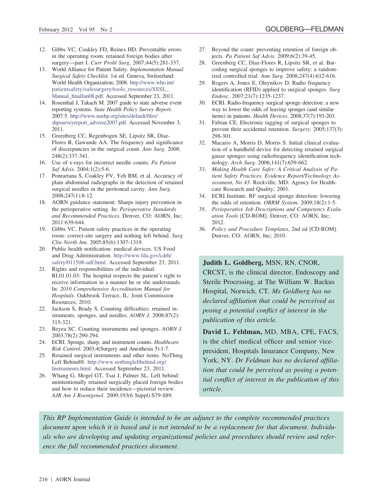- <span id="page-11-0"></span>12. Gibbs VC, Coakley FD, Reines HD. Preventable errors in the operating room: retained foreign bodies after surgery—part I. *Curr Probl Surg*. 2007;44(5):281-337.
- 13. World Alliance for Patient Safety. *Implementation Manual Surgical Safety Checklist*. 1st ed. Geneva, Switzerland: World Health Organization; 2008. [http://www.who.int/](http://www.who.int/patientsafety/safesurgery/tools_resources/SSSL_Manual_finalJun08.pdf) [patientsafety/safesurgery/tools\\_resources/SSSL\\_](http://www.who.int/patientsafety/safesurgery/tools_resources/SSSL_Manual_finalJun08.pdf) [Manual\\_finalJun08.pdf.](http://www.who.int/patientsafety/safesurgery/tools_resources/SSSL_Manual_finalJun08.pdf) Accessed September 23, 2011.
- <span id="page-11-2"></span>14. Rosenthal J, Takach M. 2007 guide to state adverse event reporting systems. *State Health Policy Survey Report*. 2007:5. [http://www.nashp.org/sites/default/files/](http://www.nashp.org/sites/default/files/shpsurveyreport_adverse2007.pdf) [shpsurveyreport\\_adverse2007.pdf.](http://www.nashp.org/sites/default/files/shpsurveyreport_adverse2007.pdf) Accessed November 3, 2011.
- 15. Greenberg CC, Regenbogen SE, Lipsitz SR, Diaz-Flores R, Gawande AA. The frequency and significance of discrepancies in the surgical count. *Ann Surg*. 2008; 248(2):337-341.
- 16. Use of x-rays for incorrect needle counts. *Pa Patient Saf Advis*. 2004;1(2):5-6.
- <span id="page-11-1"></span>17. Ponrartana S, Coakley FV, Yeh BM, et al. Accuracy of plain abdominal radiographs in the detection of retained surgical needles in the peritoneal cavity. *Ann Surg*. 2008;247(1):8-12.
- 18. AORN guidance statement: Sharps injury prevention in the perioperative setting. In: *Perioperative Standards and Recommended Practices*. Denver, CO: AORN, Inc; 2011:639-644.
- <span id="page-11-3"></span>19. Gibbs VC. Patient safety practices in the operating room: correct-site surgery and nothing left behind. *Surg Clin North Am*. 2005;85(6):1307-1319.
- <span id="page-11-4"></span>20. Public health notification: medical devices. US Food and Drug Administration. [http://www.fda.gov/cdrh/](http://www.fda.gov/cdrh/safety/011508-udf.html) [safety/011508-udf.html.](http://www.fda.gov/cdrh/safety/011508-udf.html) Accessed September 23, 2011.
- 21. Rights and responsibilities of the individual: RI.01.01.03: The hospital respects the patient's right to receive information in a manner he or she understands. In: *2010 Comprehensive Accreditation Manual for Hospitals*. Oakbrook Terrace, IL: Joint Commission Resources; 2010.
- <span id="page-11-5"></span>22. Jackson S, Brady S. Counting difficulties: retained instruments, sponges, and needles. *AORN J*. 2008;87(2): 315-321.
- <span id="page-11-6"></span>23. Beyea SC. Counting instruments and sponges. *AORN J*. 2003;78(2):290-294.
- <span id="page-11-7"></span>24. ECRI. Sponge, sharp, and instrument counts. *Healthcare Risk Control*. 2003;4(Surgery and Anesthesia 5):1-7.
- 25. Retained surgical instruments and other items. NoThing Left Behind®. [http://www.nothingleftbehind.org/](http://www.nothingleftbehind.org/Instruments.html) [Instruments.html.](http://www.nothingleftbehind.org/Instruments.html) Accessed September 23, 2011.
- 26. Whang G, Mogel GT, Tsai J, Palmer SL. Left behind: unintentionally retained surgically placed foreign bodies and how to reduce their incidence—pictorial review. *AJR Am J Roentgenol*. 2009;193(6 Suppl):S79-S89.
- 27. Beyond the count: preventing retention of foreign objects. *Pa Patient Saf Advis*. 2009;6(2):39-45.
- 28. Greenberg CC, Diaz-Flores R, Lipsitz SR, et al. Barcoding surgical sponges to improve safety: a randomized controlled trial. *Ann Surg*. 2008;247(4):612-616.
- 29. Rogers A, Jones E, Oleynikov D. Radio frequency identification (RFID) applied to surgical sponges. *Surg Endosc*. 2007;21(7):1235-1237.
- 30. ECRI. Radio-frequency surgical sponge detection: a new way to lower the odds of leaving sponges (and similar items) in patients. *Health Devices*. 2008;37(7):193-203.
- 31. Fabian CE. Electronic tagging of surgical sponges to prevent their accidental retention. *Surgery*. 2005;137(3): 298-301.
- 32. Macario A, Morris D, Morris S. Initial clinical evaluation of a handheld device for detecting retained surgical gauze sponges using radiofrequency identification technology. *Arch Surg*. 2006;141(7):659-662.
- 33. *Making Health Care Safer: A Critical Analysis of Patient Safety Practices. Evidence Report/Technology Assessment, No 43*. Rockville, MD: Agency for Healthcare Research and Quality; 2001.
- <span id="page-11-9"></span>34. ECRI Institute. RF surgical sponge detection: lowering the odds of retention. *ORRM System*. 2009;18(2):1-5.
- <span id="page-11-8"></span>35. *Perioperative Job Descriptions and Competency Evaluation Tools* [CD-ROM]. Denver, CO: AORN, Inc; 2012.
- 36. *Policy and Procedure Templates*, 2nd ed [CD-ROM]. Denver, CO: AORN, Inc; 2010.

**Judith L. Goldberg,** MSN, RN, CNOR,

CRCST, is the clinical director, Endoscopy and Sterile Processing, at The William W. Backus Hospital, Norwich, CT. *Ms Goldberg has no declared affiliation that could be perceived as posing a potential conflict of interest in the publication of this article.*

**David L. Feldman,** MD, MBA, CPE, FACS, is the chief medical officer and senior vicepresident, Hospitals Insurance Company, New York, NY. *Dr Feldman has no declared affiliation that could be perceived as posing a potential conflict of interest in the publication of this article*.

*This RP Implementation Guide is intended to be an adjunct to the complete recommended practices document upon which it is based and is not intended to be a replacement for that document. Individuals who are developing and updating organizational policies and procedures should review and reference the full recommended practices document.*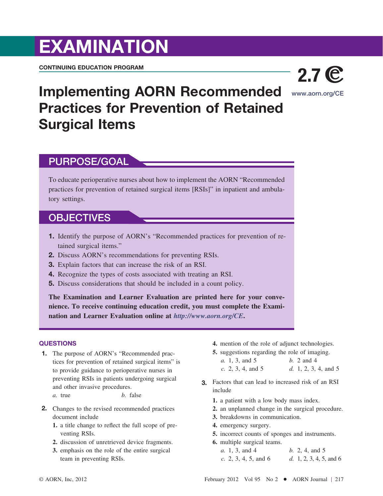# **EXAMINATION**

**CONTINUING EDUCATION PROGRAM 2.7**



# **Implementing AORN Recommended WWW.aorn.org/CE Practices for Prevention of Retained Surgical Items**

## PURPOSE/GOAL

To educate perioperative nurses about how to implement the AORN "Recommended practices for prevention of retained surgical items [RSIs]" in inpatient and ambulatory settings.

### **OBJECTIVES**

- **1.** Identify the purpose of AORN's "Recommended practices for prevention of retained surgical items."
- **2.** Discuss AORN's recommendations for preventing RSIs.
- **3.** Explain factors that can increase the risk of an RSI.
- **4.** Recognize the types of costs associated with treating an RSI.
- **5.** Discuss considerations that should be included in a count policy.

**The Examination and Learner Evaluation are printed here for your convenience. To receive continuing education credit, you must complete the Examination and Learner Evaluation online at** *<http://www.aorn.org/CE>***.**

#### **QUESTIONS**

- **1.** The purpose of AORN's "Recommended practices for prevention of retained surgical items" is to provide guidance to perioperative nurses in preventing RSIs in patients undergoing surgical and other invasive procedures.
	- *a.* true *b.* false
- **2.** Changes to the revised recommended practices document include
	- **1.** a title change to reflect the full scope of preventing RSIs.
	- **2.** discussion of unretrieved device fragments.
	- **3.** emphasis on the role of the entire surgical team in preventing RSIs.
- **4.** mention of the role of adjunct technologies.
- **5.** suggestions regarding the role of imaging. *a.* 1, 3, and 5 *b.* 2 and 4 *c.* 2, 3, 4, and 5 *d.* 1, 2, 3, 4, and 5
- **3.** Factors that can lead to increased risk of an RSI include
	- **1.** a patient with a low body mass index.
	- **2.** an unplanned change in the surgical procedure.
	- **3.** breakdowns in communication.
	- **4.** emergency surgery.
	- **5.** incorrect counts of sponges and instruments.
	- **6.** multiple surgical teams.

| a. 1, 3, and 4       | b. 2, 4, and 5          |
|----------------------|-------------------------|
| c. 2, 3, 4, 5, and 6 | d. 1, 2, 3, 4, 5, and 6 |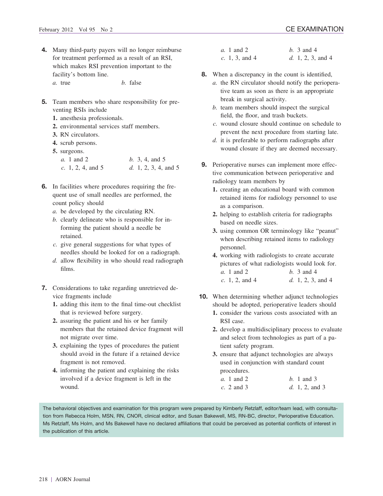- **4.** Many third-party payers will no longer reimburse for treatment performed as a result of an RSI, which makes RSI prevention important to the facility's bottom line. *a.* true *b.* false
- **5.** Team members who share responsibility for preventing RSIs include
	- **1.** anesthesia professionals.
	- **2.** environmental services staff members.
	- **3.** RN circulators.
	- **4.** scrub persons.
	- **5.** surgeons.
		- *a.* 1 and 2 *b.* 3, 4, and 5 *c.* 1, 2, 4, and 5 *d.* 1, 2, 3, 4, and 5
- **6.** In facilities where procedures requiring the frequent use of small needles are performed, the count policy should
	- *a.* be developed by the circulating RN.
	- *b.* clearly delineate who is responsible for informing the patient should a needle be retained.
	- *c.* give general suggestions for what types of needles should be looked for on a radiograph.
	- *d.* allow flexibility in who should read radiograph films.
- **7.** Considerations to take regarding unretrieved device fragments include
	- **1.** adding this item to the final time-out checklist that is reviewed before surgery.
	- **2.** assuring the patient and his or her family members that the retained device fragment will not migrate over time.
	- **3.** explaining the types of procedures the patient should avoid in the future if a retained device fragment is not removed.
	- **4.** informing the patient and explaining the risks involved if a device fragment is left in the wound.

| a. 1 and 2     | b. $3$ and $4$    |
|----------------|-------------------|
| c. 1, 3, and 4 | d. 1, 2, 3, and 4 |

- **8.** When a discrepancy in the count is identified,
	- *a.* the RN circulator should notify the perioperative team as soon as there is an appropriate break in surgical activity.
	- *b.* team members should inspect the surgical field, the floor, and trash buckets.
	- *c.* wound closure should continue on schedule to prevent the next procedure from starting late.
	- *d.* it is preferable to perform radiographs after wound closure if they are deemed necessary.
- **9.** Perioperative nurses can implement more effective communication between perioperative and radiology team members by
	- **1.** creating an educational board with common retained items for radiology personnel to use as a comparison.
	- **2.** helping to establish criteria for radiographs based on needle sizes.
	- **3.** using common OR terminology like "peanut" when describing retained items to radiology personnel.
	- **4.** working with radiologists to create accurate pictures of what radiologists would look for.

| a. 1 and 2            | $h.$ 3 and 4      |
|-----------------------|-------------------|
| <i>c.</i> 1, 2, and 4 | d. 1, 2, 3, and 4 |

- **10.** When determining whether adjunct technologies should be adopted, perioperative leaders should
	- **1.** consider the various costs associated with an RSI case.
	- **2.** develop a multidisciplinary process to evaluate and select from technologies as part of a patient safety program.
	- **3.** ensure that adjunct technologies are always used in conjunction with standard count procedures.

|  | <i>a</i> . 1 and 2 | $h. 1$ and 3   |
|--|--------------------|----------------|
|  | c. 2 and 3         | d. 1, 2, and 3 |

The behavioral objectives and examination for this program were prepared by Kimberly Retzlaff, editor/team lead, with consultation from Rebecca Holm, MSN, RN, CNOR, clinical editor, and Susan Bakewell, MS, RN-BC, director, Perioperative Education. Ms Retzlaff, Ms Holm, and Ms Bakewell have no declared affiliations that could be perceived as potential conflicts of interest in the publication of this article.